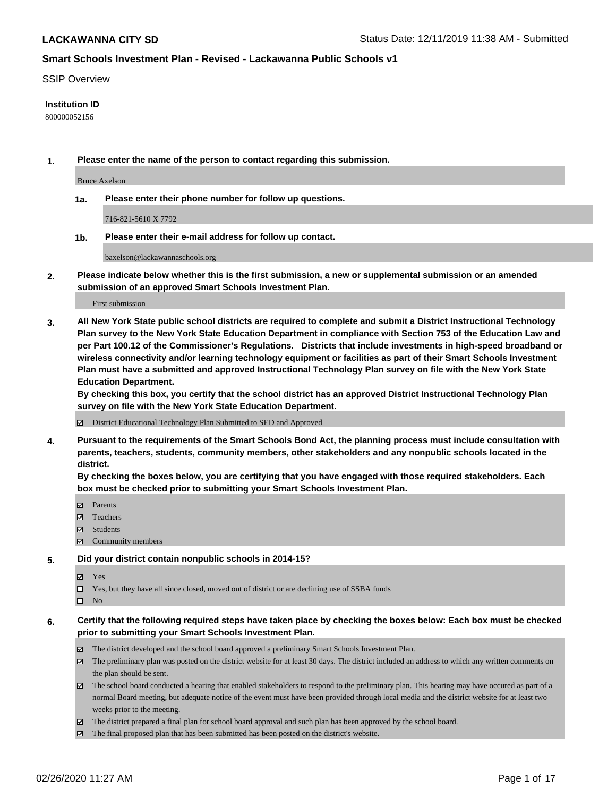#### SSIP Overview

#### **Institution ID**

800000052156

**1. Please enter the name of the person to contact regarding this submission.**

Bruce Axelson

**1a. Please enter their phone number for follow up questions.**

716-821-5610 X 7792

**1b. Please enter their e-mail address for follow up contact.**

baxelson@lackawannaschools.org

**2. Please indicate below whether this is the first submission, a new or supplemental submission or an amended submission of an approved Smart Schools Investment Plan.**

#### First submission

**3. All New York State public school districts are required to complete and submit a District Instructional Technology Plan survey to the New York State Education Department in compliance with Section 753 of the Education Law and per Part 100.12 of the Commissioner's Regulations. Districts that include investments in high-speed broadband or wireless connectivity and/or learning technology equipment or facilities as part of their Smart Schools Investment Plan must have a submitted and approved Instructional Technology Plan survey on file with the New York State Education Department.** 

**By checking this box, you certify that the school district has an approved District Instructional Technology Plan survey on file with the New York State Education Department.**

District Educational Technology Plan Submitted to SED and Approved

**4. Pursuant to the requirements of the Smart Schools Bond Act, the planning process must include consultation with parents, teachers, students, community members, other stakeholders and any nonpublic schools located in the district.** 

**By checking the boxes below, you are certifying that you have engaged with those required stakeholders. Each box must be checked prior to submitting your Smart Schools Investment Plan.**

- **マ** Parents
- Teachers
- Students
- $\Xi$  Community members

#### **5. Did your district contain nonpublic schools in 2014-15?**

**冈** Yes

Yes, but they have all since closed, moved out of district or are declining use of SSBA funds

 $\square$  No

- **6. Certify that the following required steps have taken place by checking the boxes below: Each box must be checked prior to submitting your Smart Schools Investment Plan.**
	- The district developed and the school board approved a preliminary Smart Schools Investment Plan.
	- $\boxtimes$  The preliminary plan was posted on the district website for at least 30 days. The district included an address to which any written comments on the plan should be sent.
	- $\boxtimes$  The school board conducted a hearing that enabled stakeholders to respond to the preliminary plan. This hearing may have occured as part of a normal Board meeting, but adequate notice of the event must have been provided through local media and the district website for at least two weeks prior to the meeting.
	- The district prepared a final plan for school board approval and such plan has been approved by the school board.
	- The final proposed plan that has been submitted has been posted on the district's website.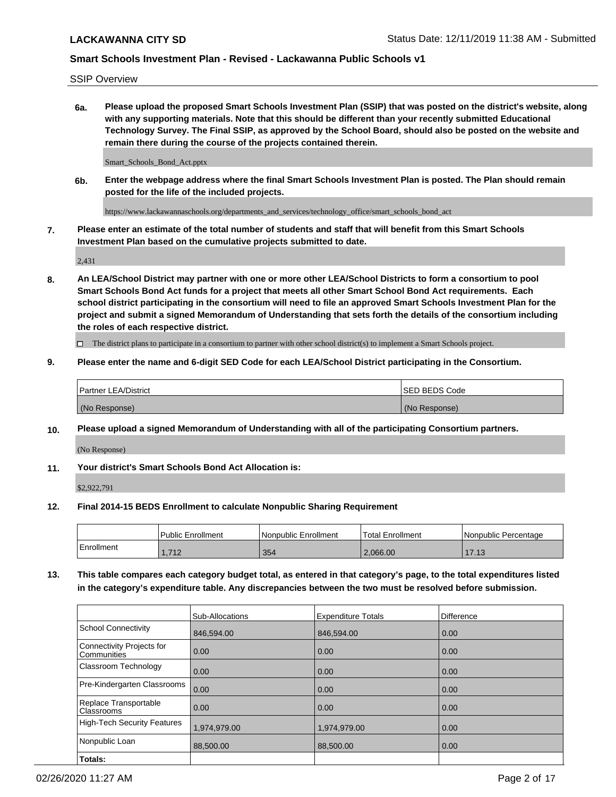SSIP Overview

**6a. Please upload the proposed Smart Schools Investment Plan (SSIP) that was posted on the district's website, along with any supporting materials. Note that this should be different than your recently submitted Educational Technology Survey. The Final SSIP, as approved by the School Board, should also be posted on the website and remain there during the course of the projects contained therein.**

Smart\_Schools\_Bond\_Act.pptx

**6b. Enter the webpage address where the final Smart Schools Investment Plan is posted. The Plan should remain posted for the life of the included projects.**

https://www.lackawannaschools.org/departments\_and\_services/technology\_office/smart\_schools\_bond\_act

**7. Please enter an estimate of the total number of students and staff that will benefit from this Smart Schools Investment Plan based on the cumulative projects submitted to date.**

2,431

**8. An LEA/School District may partner with one or more other LEA/School Districts to form a consortium to pool Smart Schools Bond Act funds for a project that meets all other Smart School Bond Act requirements. Each school district participating in the consortium will need to file an approved Smart Schools Investment Plan for the project and submit a signed Memorandum of Understanding that sets forth the details of the consortium including the roles of each respective district.**

 $\Box$  The district plans to participate in a consortium to partner with other school district(s) to implement a Smart Schools project.

### **9. Please enter the name and 6-digit SED Code for each LEA/School District participating in the Consortium.**

| Partner LEA/District | <b>ISED BEDS Code</b> |
|----------------------|-----------------------|
| (No Response)        | (No Response)         |

### **10. Please upload a signed Memorandum of Understanding with all of the participating Consortium partners.**

(No Response)

**11. Your district's Smart Schools Bond Act Allocation is:**

\$2,922,791

#### **12. Final 2014-15 BEDS Enrollment to calculate Nonpublic Sharing Requirement**

|            | l Public Enrollment | Nonpublic Enrollment | Total Enrollment | I Nonpublic Percentage |
|------------|---------------------|----------------------|------------------|------------------------|
| Enrollment | 740<br>╶╹           | 354                  | 2.066.00         | 1710<br>. 0            |

**13. This table compares each category budget total, as entered in that category's page, to the total expenditures listed in the category's expenditure table. Any discrepancies between the two must be resolved before submission.**

|                                          | Sub-Allocations | <b>Expenditure Totals</b> | <b>Difference</b> |
|------------------------------------------|-----------------|---------------------------|-------------------|
| <b>School Connectivity</b>               | 846,594.00      | 846,594.00                | 0.00              |
| Connectivity Projects for<br>Communities | 0.00            | 0.00                      | 0.00              |
| Classroom Technology                     | 0.00            | 0.00                      | 0.00              |
| Pre-Kindergarten Classrooms              | 0.00            | 0.00                      | 0.00              |
| Replace Transportable<br>Classrooms      | 0.00            | 0.00                      | 0.00              |
| High-Tech Security Features              | 1,974,979.00    | 1,974,979.00              | 0.00              |
| Nonpublic Loan                           | 88,500.00       | 88,500,00                 | 0.00              |
| Totals:                                  |                 |                           |                   |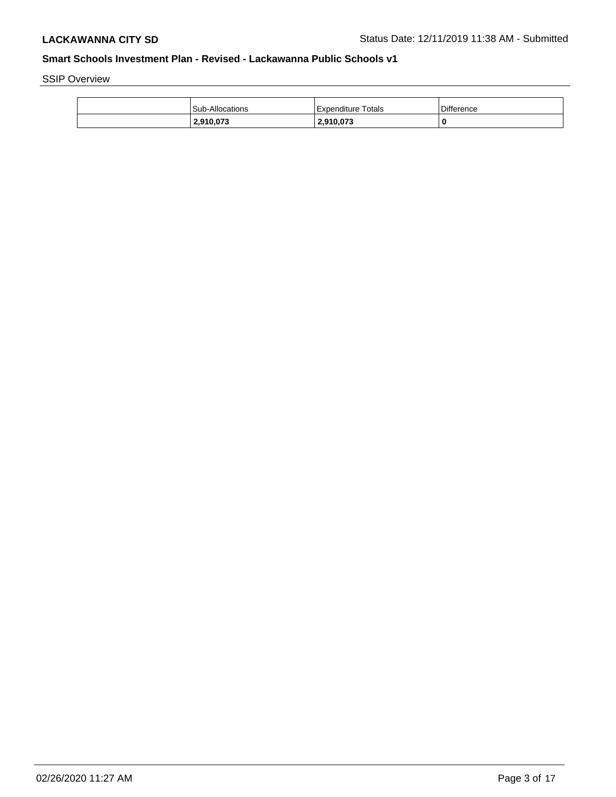SSIP Overview

| <b>Sub-Allocations</b> | <b>Expenditure Totals</b> | <b>Difference</b> |
|------------------------|---------------------------|-------------------|
| 2,910,073              | 2,910,073                 | 0                 |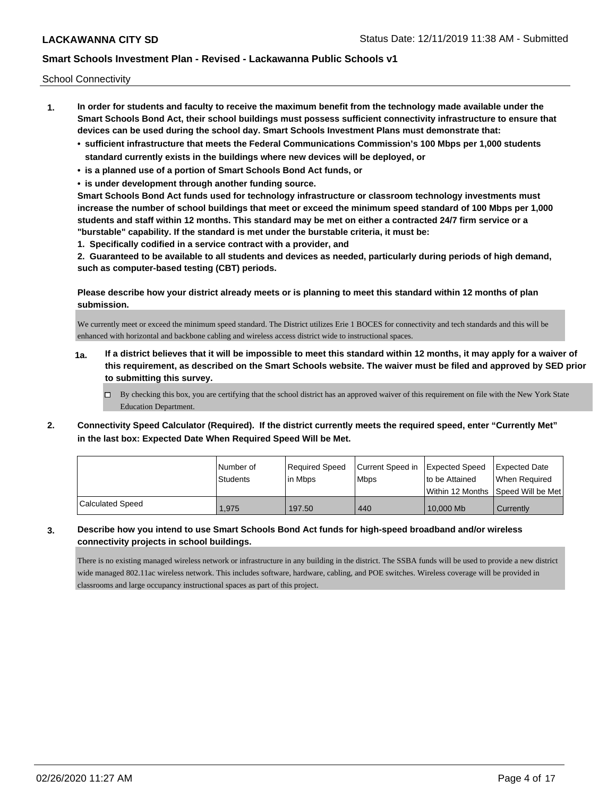School Connectivity

- **1. In order for students and faculty to receive the maximum benefit from the technology made available under the Smart Schools Bond Act, their school buildings must possess sufficient connectivity infrastructure to ensure that devices can be used during the school day. Smart Schools Investment Plans must demonstrate that:**
	- **• sufficient infrastructure that meets the Federal Communications Commission's 100 Mbps per 1,000 students standard currently exists in the buildings where new devices will be deployed, or**
	- **• is a planned use of a portion of Smart Schools Bond Act funds, or**
	- **• is under development through another funding source.**

**Smart Schools Bond Act funds used for technology infrastructure or classroom technology investments must increase the number of school buildings that meet or exceed the minimum speed standard of 100 Mbps per 1,000 students and staff within 12 months. This standard may be met on either a contracted 24/7 firm service or a "burstable" capability. If the standard is met under the burstable criteria, it must be:**

**1. Specifically codified in a service contract with a provider, and**

**2. Guaranteed to be available to all students and devices as needed, particularly during periods of high demand, such as computer-based testing (CBT) periods.**

**Please describe how your district already meets or is planning to meet this standard within 12 months of plan submission.**

We currently meet or exceed the minimum speed standard. The District utilizes Erie 1 BOCES for connectivity and tech standards and this will be enhanced with horizontal and backbone cabling and wireless access district wide to instructional spaces.

- **1a. If a district believes that it will be impossible to meet this standard within 12 months, it may apply for a waiver of this requirement, as described on the Smart Schools website. The waiver must be filed and approved by SED prior to submitting this survey.**
	- $\Box$  By checking this box, you are certifying that the school district has an approved waiver of this requirement on file with the New York State Education Department.
- **2. Connectivity Speed Calculator (Required). If the district currently meets the required speed, enter "Currently Met" in the last box: Expected Date When Required Speed Will be Met.**

|                         | l Number of | Required Speed | Current Speed in | Expected Speed | <b>Expected Date</b>                    |
|-------------------------|-------------|----------------|------------------|----------------|-----------------------------------------|
|                         | Students    | lin Mbps       | <b>Mbps</b>      | to be Attained | When Required                           |
|                         |             |                |                  |                | l Within 12 Months ISpeed Will be Met l |
| <b>Calculated Speed</b> | 1,975       | 197.50         | 440              | 10,000 Mb      | Currently                               |

**3. Describe how you intend to use Smart Schools Bond Act funds for high-speed broadband and/or wireless connectivity projects in school buildings.**

There is no existing managed wireless network or infrastructure in any building in the district. The SSBA funds will be used to provide a new district wide managed 802.11ac wireless network. This includes software, hardware, cabling, and POE switches. Wireless coverage will be provided in classrooms and large occupancy instructional spaces as part of this project.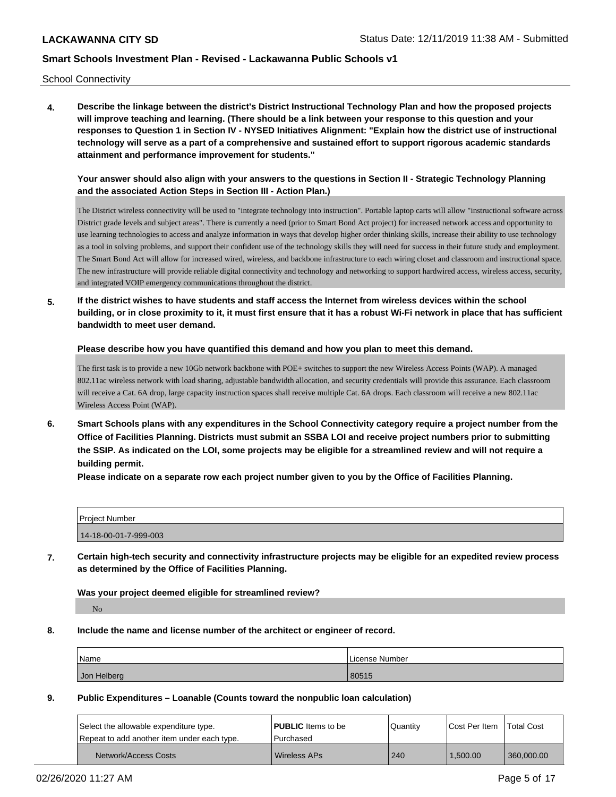School Connectivity

**4. Describe the linkage between the district's District Instructional Technology Plan and how the proposed projects will improve teaching and learning. (There should be a link between your response to this question and your responses to Question 1 in Section IV - NYSED Initiatives Alignment: "Explain how the district use of instructional technology will serve as a part of a comprehensive and sustained effort to support rigorous academic standards attainment and performance improvement for students."** 

**Your answer should also align with your answers to the questions in Section II - Strategic Technology Planning and the associated Action Steps in Section III - Action Plan.)**

The District wireless connectivity will be used to "integrate technology into instruction". Portable laptop carts will allow "instructional software across District grade levels and subject areas". There is currently a need (prior to Smart Bond Act project) for increased network access and opportunity to use learning technologies to access and analyze information in ways that develop higher order thinking skills, increase their ability to use technology as a tool in solving problems, and support their confident use of the technology skills they will need for success in their future study and employment. The Smart Bond Act will allow for increased wired, wireless, and backbone infrastructure to each wiring closet and classroom and instructional space. The new infrastructure will provide reliable digital connectivity and technology and networking to support hardwired access, wireless access, security, and integrated VOIP emergency communications throughout the district.

**5. If the district wishes to have students and staff access the Internet from wireless devices within the school building, or in close proximity to it, it must first ensure that it has a robust Wi-Fi network in place that has sufficient bandwidth to meet user demand.**

**Please describe how you have quantified this demand and how you plan to meet this demand.**

The first task is to provide a new 10Gb network backbone with POE+ switches to support the new Wireless Access Points (WAP). A managed 802.11ac wireless network with load sharing, adjustable bandwidth allocation, and security credentials will provide this assurance. Each classroom will receive a Cat. 6A drop, large capacity instruction spaces shall receive multiple Cat. 6A drops. Each classroom will receive a new 802.11ac Wireless Access Point (WAP).

**6. Smart Schools plans with any expenditures in the School Connectivity category require a project number from the Office of Facilities Planning. Districts must submit an SSBA LOI and receive project numbers prior to submitting the SSIP. As indicated on the LOI, some projects may be eligible for a streamlined review and will not require a building permit.**

**Please indicate on a separate row each project number given to you by the Office of Facilities Planning.**

| Project Number        |  |
|-----------------------|--|
| 14-18-00-01-7-999-003 |  |

**7. Certain high-tech security and connectivity infrastructure projects may be eligible for an expedited review process as determined by the Office of Facilities Planning.**

**Was your project deemed eligible for streamlined review?**

No

**8. Include the name and license number of the architect or engineer of record.**

| Name        | License Number |
|-------------|----------------|
| Jon Helberg | 80515          |

**9. Public Expenditures – Loanable (Counts toward the nonpublic loan calculation)**

| Select the allowable expenditure type.      | <b>PUBLIC</b> Items to be | Quantity | Cost Per Item | l Total Cost |
|---------------------------------------------|---------------------------|----------|---------------|--------------|
| Repeat to add another item under each type. | l Purchased               |          |               |              |
| Network/Access Costs                        | l Wireless APs            | 240      | 1.500.00      | 360,000,00   |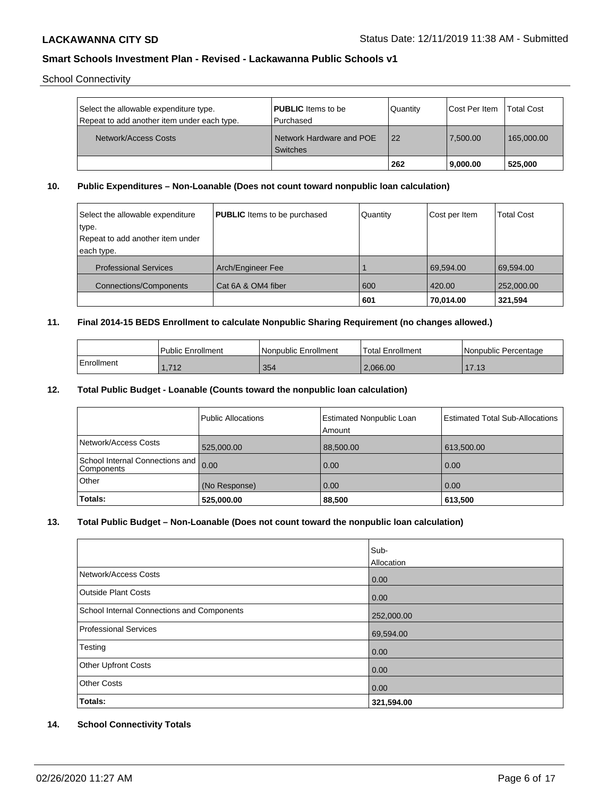School Connectivity

| Select the allowable expenditure type.<br>Repeat to add another item under each type. | <b>PUBLIC</b> Items to be<br>l Purchased    | Quantity | Cost Per Item | <b>Total Cost</b> |
|---------------------------------------------------------------------------------------|---------------------------------------------|----------|---------------|-------------------|
| Network/Access Costs                                                                  | Network Hardware and POE<br><b>Switches</b> | 22       | 7.500.00      | 165,000.00        |
|                                                                                       |                                             | 262      | 9.000.00      | 525.000           |

## **10. Public Expenditures – Non-Loanable (Does not count toward nonpublic loan calculation)**

| Select the allowable expenditure | <b>PUBLIC</b> Items to be purchased | Quantity | Cost per Item | <b>Total Cost</b> |
|----------------------------------|-------------------------------------|----------|---------------|-------------------|
| type.                            |                                     |          |               |                   |
| Repeat to add another item under |                                     |          |               |                   |
| each type.                       |                                     |          |               |                   |
| <b>Professional Services</b>     | Arch/Engineer Fee                   |          | 69.594.00     | 69.594.00         |
| Connections/Components           | Cat 6A & OM4 fiber                  | 600      | 420.00        | 252,000.00        |
|                                  |                                     | 601      | 70,014.00     | 321,594           |

## **11. Final 2014-15 BEDS Enrollment to calculate Nonpublic Sharing Requirement (no changes allowed.)**

|            | Public Enrollment | l Nonpublic Enrollment | Total Enrollment | Nonpublic Percentage |
|------------|-------------------|------------------------|------------------|----------------------|
| Enrollment | 740<br>1,712      | 354                    | 2.066.00         | 1712<br>11.IJ        |

#### **12. Total Public Budget - Loanable (Counts toward the nonpublic loan calculation)**

|                                               | Public Allocations | <b>Estimated Nonpublic Loan</b><br>Amount | <b>Estimated Total Sub-Allocations</b> |
|-----------------------------------------------|--------------------|-------------------------------------------|----------------------------------------|
| Network/Access Costs                          | 525,000.00         | 88,500.00                                 | 613,500.00                             |
| School Internal Connections and<br>Components | 0.00               | 0.00                                      | 0.00                                   |
| Other                                         | (No Response)      | 0.00                                      | 0.00                                   |
| Totals:                                       | 525,000.00         | 88,500                                    | 613,500                                |

## **13. Total Public Budget – Non-Loanable (Does not count toward the nonpublic loan calculation)**

|                                                   | Sub-<br>Allocation |
|---------------------------------------------------|--------------------|
| Network/Access Costs                              | 0.00               |
| Outside Plant Costs                               | 0.00               |
| <b>School Internal Connections and Components</b> | 252,000.00         |
| <b>Professional Services</b>                      | 69,594.00          |
| Testing                                           | 0.00               |
| Other Upfront Costs                               | 0.00               |
| <b>Other Costs</b>                                | 0.00               |
| <b>Totals:</b>                                    | 321,594.00         |

## **14. School Connectivity Totals**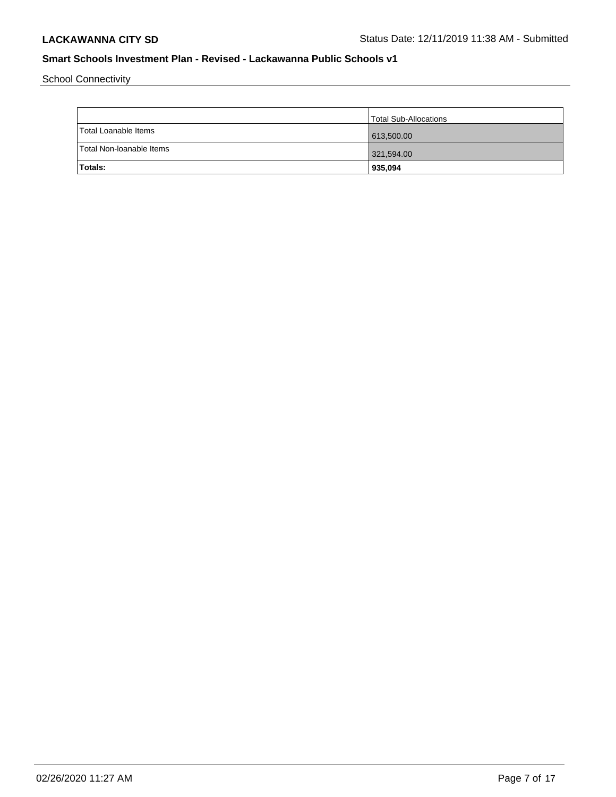School Connectivity

|                          | Total Sub-Allocations |
|--------------------------|-----------------------|
| Total Loanable Items     | 613,500.00            |
| Total Non-Ioanable Items | 321,594.00            |
| <b>Totals:</b>           | 935,094               |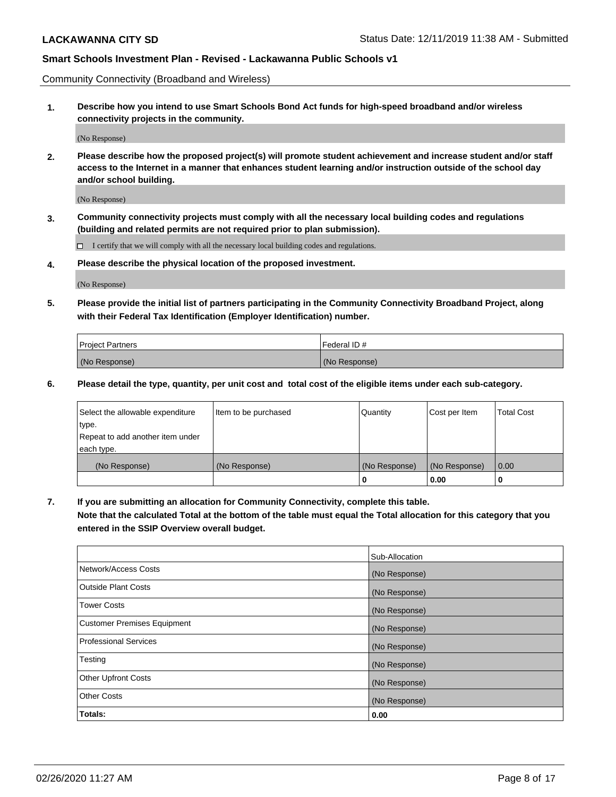Community Connectivity (Broadband and Wireless)

**1. Describe how you intend to use Smart Schools Bond Act funds for high-speed broadband and/or wireless connectivity projects in the community.**

(No Response)

**2. Please describe how the proposed project(s) will promote student achievement and increase student and/or staff access to the Internet in a manner that enhances student learning and/or instruction outside of the school day and/or school building.**

(No Response)

**3. Community connectivity projects must comply with all the necessary local building codes and regulations (building and related permits are not required prior to plan submission).**

 $\Box$  I certify that we will comply with all the necessary local building codes and regulations.

**4. Please describe the physical location of the proposed investment.**

(No Response)

**5. Please provide the initial list of partners participating in the Community Connectivity Broadband Project, along with their Federal Tax Identification (Employer Identification) number.**

| <b>Project Partners</b> | l Federal ID # |
|-------------------------|----------------|
| (No Response)           | (No Response)  |

**6. Please detail the type, quantity, per unit cost and total cost of the eligible items under each sub-category.**

| Select the allowable expenditure | Item to be purchased | Quantity      | Cost per Item | <b>Total Cost</b> |
|----------------------------------|----------------------|---------------|---------------|-------------------|
| type.                            |                      |               |               |                   |
| Repeat to add another item under |                      |               |               |                   |
| each type.                       |                      |               |               |                   |
| (No Response)                    | (No Response)        | (No Response) | (No Response) | 0.00              |
|                                  |                      | o             | 0.00          |                   |

**7. If you are submitting an allocation for Community Connectivity, complete this table.**

**Note that the calculated Total at the bottom of the table must equal the Total allocation for this category that you entered in the SSIP Overview overall budget.**

|                                    | Sub-Allocation |
|------------------------------------|----------------|
| Network/Access Costs               | (No Response)  |
| Outside Plant Costs                | (No Response)  |
| <b>Tower Costs</b>                 | (No Response)  |
| <b>Customer Premises Equipment</b> | (No Response)  |
| <b>Professional Services</b>       | (No Response)  |
| Testing                            | (No Response)  |
| <b>Other Upfront Costs</b>         | (No Response)  |
| <b>Other Costs</b>                 | (No Response)  |
| Totals:                            | 0.00           |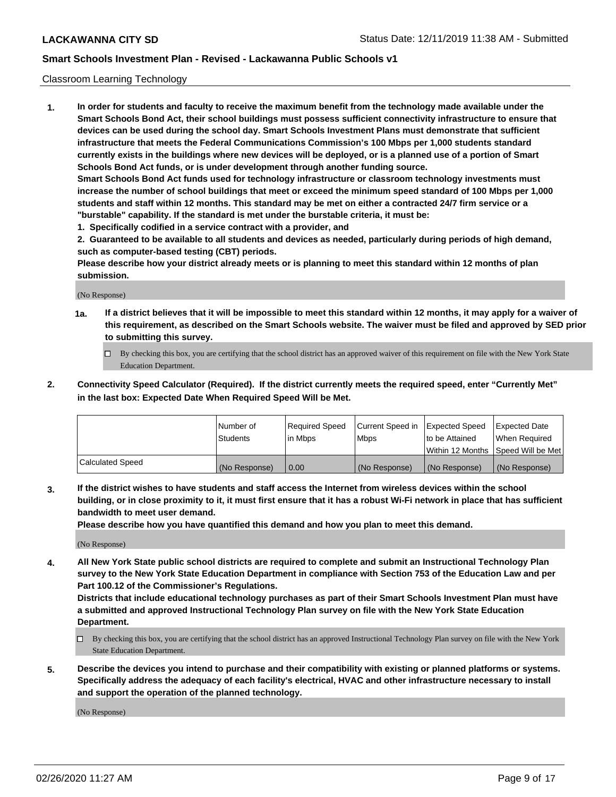### Classroom Learning Technology

**1. In order for students and faculty to receive the maximum benefit from the technology made available under the Smart Schools Bond Act, their school buildings must possess sufficient connectivity infrastructure to ensure that devices can be used during the school day. Smart Schools Investment Plans must demonstrate that sufficient infrastructure that meets the Federal Communications Commission's 100 Mbps per 1,000 students standard currently exists in the buildings where new devices will be deployed, or is a planned use of a portion of Smart Schools Bond Act funds, or is under development through another funding source. Smart Schools Bond Act funds used for technology infrastructure or classroom technology investments must increase the number of school buildings that meet or exceed the minimum speed standard of 100 Mbps per 1,000 students and staff within 12 months. This standard may be met on either a contracted 24/7 firm service or a**

- **"burstable" capability. If the standard is met under the burstable criteria, it must be:**
- **1. Specifically codified in a service contract with a provider, and**

**2. Guaranteed to be available to all students and devices as needed, particularly during periods of high demand, such as computer-based testing (CBT) periods.**

**Please describe how your district already meets or is planning to meet this standard within 12 months of plan submission.**

(No Response)

- **1a. If a district believes that it will be impossible to meet this standard within 12 months, it may apply for a waiver of this requirement, as described on the Smart Schools website. The waiver must be filed and approved by SED prior to submitting this survey.**
	- By checking this box, you are certifying that the school district has an approved waiver of this requirement on file with the New York State Education Department.
- **2. Connectivity Speed Calculator (Required). If the district currently meets the required speed, enter "Currently Met" in the last box: Expected Date When Required Speed Will be Met.**

|                  | l Number of     | Required Speed | Current Speed in | <b>Expected Speed</b> | <b>Expected Date</b>                |
|------------------|-----------------|----------------|------------------|-----------------------|-------------------------------------|
|                  | <b>Students</b> | l in Mbps      | l Mbps           | to be Attained        | When Required                       |
|                  |                 |                |                  |                       | Within 12 Months  Speed Will be Met |
| Calculated Speed | (No Response)   | 0.00           | (No Response)    | l (No Response)       | (No Response)                       |

**3. If the district wishes to have students and staff access the Internet from wireless devices within the school building, or in close proximity to it, it must first ensure that it has a robust Wi-Fi network in place that has sufficient bandwidth to meet user demand.**

**Please describe how you have quantified this demand and how you plan to meet this demand.**

(No Response)

**4. All New York State public school districts are required to complete and submit an Instructional Technology Plan survey to the New York State Education Department in compliance with Section 753 of the Education Law and per Part 100.12 of the Commissioner's Regulations.**

**Districts that include educational technology purchases as part of their Smart Schools Investment Plan must have a submitted and approved Instructional Technology Plan survey on file with the New York State Education Department.**

- By checking this box, you are certifying that the school district has an approved Instructional Technology Plan survey on file with the New York State Education Department.
- **5. Describe the devices you intend to purchase and their compatibility with existing or planned platforms or systems. Specifically address the adequacy of each facility's electrical, HVAC and other infrastructure necessary to install and support the operation of the planned technology.**

(No Response)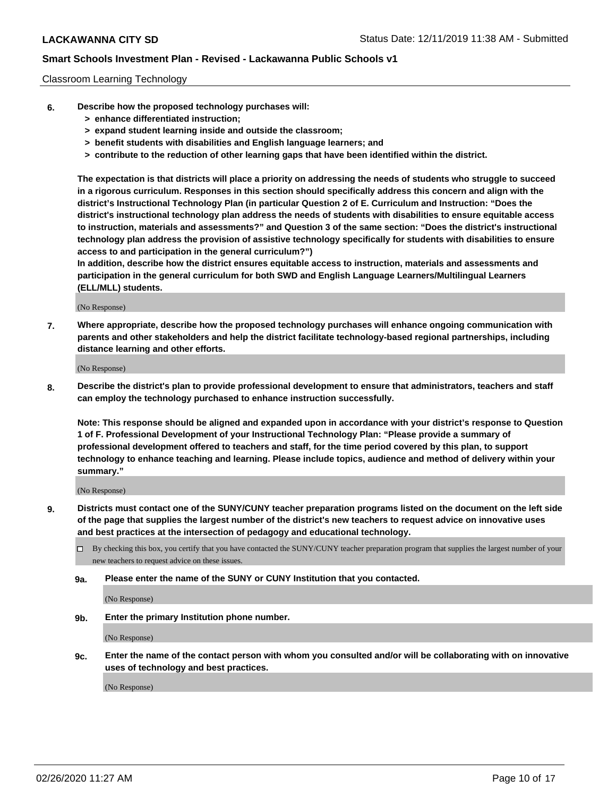### Classroom Learning Technology

- **6. Describe how the proposed technology purchases will:**
	- **> enhance differentiated instruction;**
	- **> expand student learning inside and outside the classroom;**
	- **> benefit students with disabilities and English language learners; and**
	- **> contribute to the reduction of other learning gaps that have been identified within the district.**

**The expectation is that districts will place a priority on addressing the needs of students who struggle to succeed in a rigorous curriculum. Responses in this section should specifically address this concern and align with the district's Instructional Technology Plan (in particular Question 2 of E. Curriculum and Instruction: "Does the district's instructional technology plan address the needs of students with disabilities to ensure equitable access to instruction, materials and assessments?" and Question 3 of the same section: "Does the district's instructional technology plan address the provision of assistive technology specifically for students with disabilities to ensure access to and participation in the general curriculum?")**

**In addition, describe how the district ensures equitable access to instruction, materials and assessments and participation in the general curriculum for both SWD and English Language Learners/Multilingual Learners (ELL/MLL) students.**

(No Response)

**7. Where appropriate, describe how the proposed technology purchases will enhance ongoing communication with parents and other stakeholders and help the district facilitate technology-based regional partnerships, including distance learning and other efforts.**

(No Response)

**8. Describe the district's plan to provide professional development to ensure that administrators, teachers and staff can employ the technology purchased to enhance instruction successfully.**

**Note: This response should be aligned and expanded upon in accordance with your district's response to Question 1 of F. Professional Development of your Instructional Technology Plan: "Please provide a summary of professional development offered to teachers and staff, for the time period covered by this plan, to support technology to enhance teaching and learning. Please include topics, audience and method of delivery within your summary."**

(No Response)

- **9. Districts must contact one of the SUNY/CUNY teacher preparation programs listed on the document on the left side of the page that supplies the largest number of the district's new teachers to request advice on innovative uses and best practices at the intersection of pedagogy and educational technology.**
	- By checking this box, you certify that you have contacted the SUNY/CUNY teacher preparation program that supplies the largest number of your new teachers to request advice on these issues.
	- **9a. Please enter the name of the SUNY or CUNY Institution that you contacted.**

(No Response)

**9b. Enter the primary Institution phone number.**

(No Response)

**9c. Enter the name of the contact person with whom you consulted and/or will be collaborating with on innovative uses of technology and best practices.**

(No Response)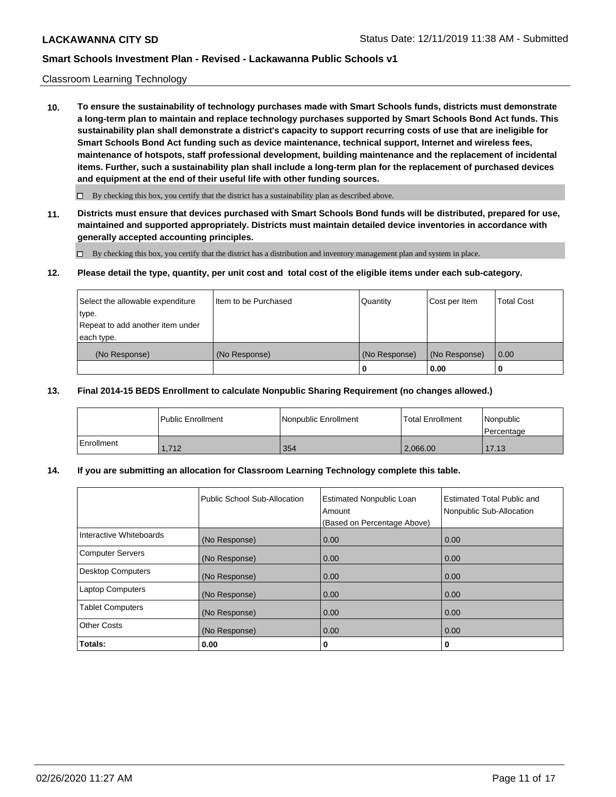### Classroom Learning Technology

**10. To ensure the sustainability of technology purchases made with Smart Schools funds, districts must demonstrate a long-term plan to maintain and replace technology purchases supported by Smart Schools Bond Act funds. This sustainability plan shall demonstrate a district's capacity to support recurring costs of use that are ineligible for Smart Schools Bond Act funding such as device maintenance, technical support, Internet and wireless fees, maintenance of hotspots, staff professional development, building maintenance and the replacement of incidental items. Further, such a sustainability plan shall include a long-term plan for the replacement of purchased devices and equipment at the end of their useful life with other funding sources.**

 $\Box$  By checking this box, you certify that the district has a sustainability plan as described above.

**11. Districts must ensure that devices purchased with Smart Schools Bond funds will be distributed, prepared for use, maintained and supported appropriately. Districts must maintain detailed device inventories in accordance with generally accepted accounting principles.**

By checking this box, you certify that the district has a distribution and inventory management plan and system in place.

#### **12. Please detail the type, quantity, per unit cost and total cost of the eligible items under each sub-category.**

| Select the allowable expenditure<br>type.      | Item to be Purchased | Quantity      | Cost per Item | <b>Total Cost</b> |
|------------------------------------------------|----------------------|---------------|---------------|-------------------|
| Repeat to add another item under<br>each type. |                      |               |               |                   |
| (No Response)                                  | (No Response)        | (No Response) | (No Response) | 0.00              |
|                                                |                      |               | 0.00          |                   |

#### **13. Final 2014-15 BEDS Enrollment to calculate Nonpublic Sharing Requirement (no changes allowed.)**

|                   | l Public Enrollment | Nonpublic Enrollment | Total Enrollment | <i>Nonpublic</i><br>l Percentage |
|-------------------|---------------------|----------------------|------------------|----------------------------------|
| <b>Enrollment</b> | 1.712               | 354                  | 2,066.00         | 17.13                            |

## **14. If you are submitting an allocation for Classroom Learning Technology complete this table.**

|                         | Public School Sub-Allocation | <b>Estimated Nonpublic Loan</b><br>Amount<br>(Based on Percentage Above) | Estimated Total Public and<br>Nonpublic Sub-Allocation |
|-------------------------|------------------------------|--------------------------------------------------------------------------|--------------------------------------------------------|
| Interactive Whiteboards | (No Response)                | 0.00                                                                     | 0.00                                                   |
| Computer Servers        | (No Response)                | 0.00                                                                     | 0.00                                                   |
| Desktop Computers       | (No Response)                | 0.00                                                                     | 0.00                                                   |
| <b>Laptop Computers</b> | (No Response)                | 0.00                                                                     | 0.00                                                   |
| <b>Tablet Computers</b> | (No Response)                | 0.00                                                                     | 0.00                                                   |
| Other Costs             | (No Response)                | 0.00                                                                     | 0.00                                                   |
| Totals:                 | 0.00                         | 0                                                                        | 0                                                      |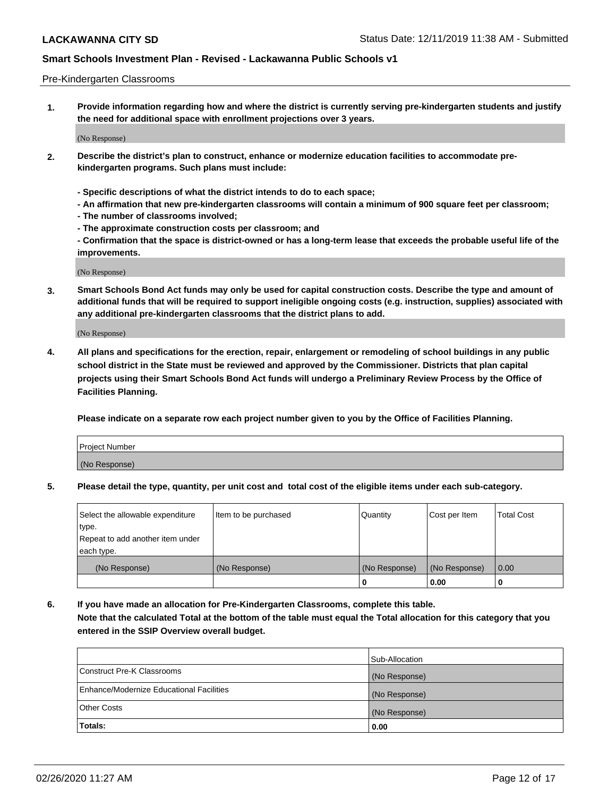#### Pre-Kindergarten Classrooms

**1. Provide information regarding how and where the district is currently serving pre-kindergarten students and justify the need for additional space with enrollment projections over 3 years.**

(No Response)

- **2. Describe the district's plan to construct, enhance or modernize education facilities to accommodate prekindergarten programs. Such plans must include:**
	- **Specific descriptions of what the district intends to do to each space;**
	- **An affirmation that new pre-kindergarten classrooms will contain a minimum of 900 square feet per classroom;**
	- **The number of classrooms involved;**
	- **The approximate construction costs per classroom; and**
	- **Confirmation that the space is district-owned or has a long-term lease that exceeds the probable useful life of the improvements.**

(No Response)

**3. Smart Schools Bond Act funds may only be used for capital construction costs. Describe the type and amount of additional funds that will be required to support ineligible ongoing costs (e.g. instruction, supplies) associated with any additional pre-kindergarten classrooms that the district plans to add.**

(No Response)

**4. All plans and specifications for the erection, repair, enlargement or remodeling of school buildings in any public school district in the State must be reviewed and approved by the Commissioner. Districts that plan capital projects using their Smart Schools Bond Act funds will undergo a Preliminary Review Process by the Office of Facilities Planning.**

**Please indicate on a separate row each project number given to you by the Office of Facilities Planning.**

| Project Number |  |
|----------------|--|
| (No Response)  |  |
|                |  |

**5. Please detail the type, quantity, per unit cost and total cost of the eligible items under each sub-category.**

| Select the allowable expenditure | Item to be purchased | Quantity      | Cost per Item | <b>Total Cost</b> |
|----------------------------------|----------------------|---------------|---------------|-------------------|
| type.                            |                      |               |               |                   |
| Repeat to add another item under |                      |               |               |                   |
| each type.                       |                      |               |               |                   |
| (No Response)                    | (No Response)        | (No Response) | (No Response) | 0.00              |
|                                  |                      | U             | 0.00          |                   |

**6. If you have made an allocation for Pre-Kindergarten Classrooms, complete this table. Note that the calculated Total at the bottom of the table must equal the Total allocation for this category that you entered in the SSIP Overview overall budget.**

|                                          | Sub-Allocation |
|------------------------------------------|----------------|
| Construct Pre-K Classrooms               | (No Response)  |
| Enhance/Modernize Educational Facilities | (No Response)  |
| <b>Other Costs</b>                       | (No Response)  |
| Totals:                                  | 0.00           |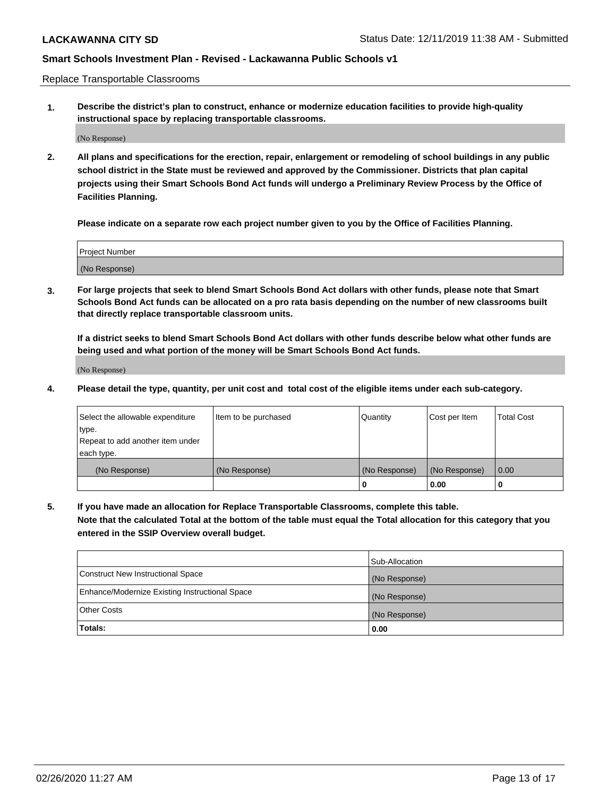Replace Transportable Classrooms

**1. Describe the district's plan to construct, enhance or modernize education facilities to provide high-quality instructional space by replacing transportable classrooms.**

(No Response)

**2. All plans and specifications for the erection, repair, enlargement or remodeling of school buildings in any public school district in the State must be reviewed and approved by the Commissioner. Districts that plan capital projects using their Smart Schools Bond Act funds will undergo a Preliminary Review Process by the Office of Facilities Planning.**

**Please indicate on a separate row each project number given to you by the Office of Facilities Planning.**

| Project Number |  |
|----------------|--|
|                |  |
| (No Response)  |  |

**3. For large projects that seek to blend Smart Schools Bond Act dollars with other funds, please note that Smart Schools Bond Act funds can be allocated on a pro rata basis depending on the number of new classrooms built that directly replace transportable classroom units.**

**If a district seeks to blend Smart Schools Bond Act dollars with other funds describe below what other funds are being used and what portion of the money will be Smart Schools Bond Act funds.**

(No Response)

**4. Please detail the type, quantity, per unit cost and total cost of the eligible items under each sub-category.**

| Select the allowable expenditure | Item to be purchased | Quantity      | Cost per Item | Total Cost |
|----------------------------------|----------------------|---------------|---------------|------------|
| ∣type.                           |                      |               |               |            |
| Repeat to add another item under |                      |               |               |            |
| each type.                       |                      |               |               |            |
| (No Response)                    | (No Response)        | (No Response) | (No Response) | 0.00       |
|                                  |                      | u             | 0.00          |            |

**5. If you have made an allocation for Replace Transportable Classrooms, complete this table. Note that the calculated Total at the bottom of the table must equal the Total allocation for this category that you entered in the SSIP Overview overall budget.**

|                                                | Sub-Allocation |
|------------------------------------------------|----------------|
| Construct New Instructional Space              | (No Response)  |
| Enhance/Modernize Existing Instructional Space | (No Response)  |
| Other Costs                                    | (No Response)  |
| Totals:                                        | 0.00           |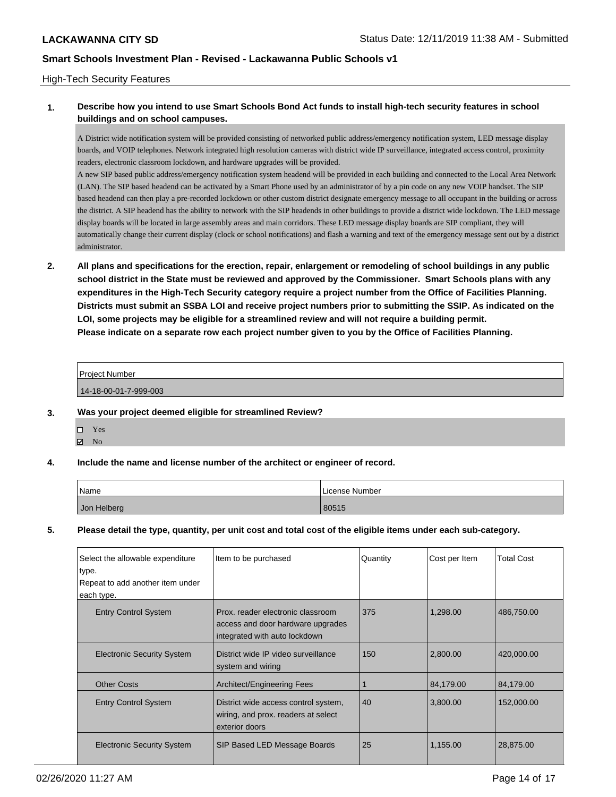## High-Tech Security Features

## **1. Describe how you intend to use Smart Schools Bond Act funds to install high-tech security features in school buildings and on school campuses.**

A District wide notification system will be provided consisting of networked public address/emergency notification system, LED message display boards, and VOIP telephones. Network integrated high resolution cameras with district wide IP surveillance, integrated access control, proximity readers, electronic classroom lockdown, and hardware upgrades will be provided.

A new SIP based public address/emergency notification system headend will be provided in each building and connected to the Local Area Network (LAN). The SIP based headend can be activated by a Smart Phone used by an administrator of by a pin code on any new VOIP handset. The SIP based headend can then play a pre-recorded lockdown or other custom district designate emergency message to all occupant in the building or across the district. A SIP headend has the ability to network with the SIP headends in other buildings to provide a district wide lockdown. The LED message display boards will be located in large assembly areas and main corridors. These LED message display boards are SIP compliant, they will automatically change their current display (clock or school notifications) and flash a warning and text of the emergency message sent out by a district administrator.

**2. All plans and specifications for the erection, repair, enlargement or remodeling of school buildings in any public school district in the State must be reviewed and approved by the Commissioner. Smart Schools plans with any expenditures in the High-Tech Security category require a project number from the Office of Facilities Planning. Districts must submit an SSBA LOI and receive project numbers prior to submitting the SSIP. As indicated on the LOI, some projects may be eligible for a streamlined review and will not require a building permit. Please indicate on a separate row each project number given to you by the Office of Facilities Planning.**

Project Number

14-18-00-01-7-999-003

### **3. Was your project deemed eligible for streamlined Review?**

Yes  $\boxtimes$  No

### **4. Include the name and license number of the architect or engineer of record.**

| Name        | License Number |
|-------------|----------------|
| Jon Helberg | 80515          |

## **5. Please detail the type, quantity, per unit cost and total cost of the eligible items under each sub-category.**

| Select the allowable expenditure<br>type.<br>Repeat to add another item under<br>each type. | Item to be purchased                                                                                    | Quantity | Cost per Item | <b>Total Cost</b> |
|---------------------------------------------------------------------------------------------|---------------------------------------------------------------------------------------------------------|----------|---------------|-------------------|
| <b>Entry Control System</b>                                                                 | Prox, reader electronic classroom<br>access and door hardware upgrades<br>integrated with auto lockdown | 375      | 1,298.00      | 486,750.00        |
| <b>Electronic Security System</b>                                                           | District wide IP video surveillance<br>system and wiring                                                | 150      | 2,800.00      | 420,000.00        |
| <b>Other Costs</b>                                                                          | Architect/Engineering Fees                                                                              |          | 84,179.00     | 84,179.00         |
| <b>Entry Control System</b>                                                                 | District wide access control system,<br>wiring, and prox. readers at select<br>exterior doors           | 40       | 3,800.00      | 152,000.00        |
| <b>Electronic Security System</b>                                                           | SIP Based LED Message Boards                                                                            | 25       | 1,155.00      | 28,875.00         |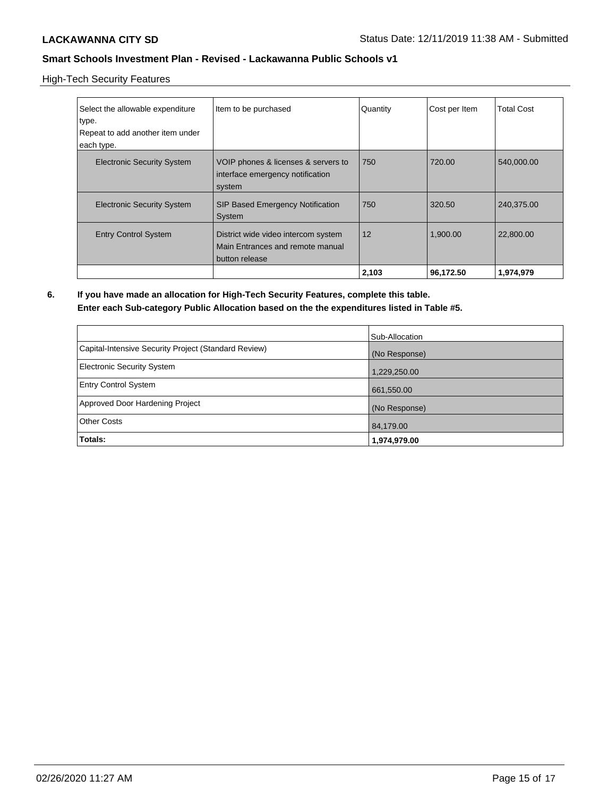High-Tech Security Features

| Select the allowable expenditure<br>type.<br>Repeat to add another item under<br>each type. | Item to be purchased                                                                      | Quantity | Cost per Item | <b>Total Cost</b> |
|---------------------------------------------------------------------------------------------|-------------------------------------------------------------------------------------------|----------|---------------|-------------------|
| <b>Electronic Security System</b>                                                           | VOIP phones & licenses & servers to<br>interface emergency notification<br>system         | 750      | 720.00        | 540,000.00        |
| <b>Electronic Security System</b>                                                           | <b>SIP Based Emergency Notification</b><br>System                                         | 750      | 320.50        | 240,375.00        |
| <b>Entry Control System</b>                                                                 | District wide video intercom system<br>Main Entrances and remote manual<br>button release | 12       | 1,900.00      | 22,800.00         |
|                                                                                             |                                                                                           | 2,103    | 96,172.50     | 1,974,979         |

**6. If you have made an allocation for High-Tech Security Features, complete this table. Enter each Sub-category Public Allocation based on the the expenditures listed in Table #5.**

|                                                      | Sub-Allocation |
|------------------------------------------------------|----------------|
| Capital-Intensive Security Project (Standard Review) | (No Response)  |
| Electronic Security System                           | 1,229,250.00   |
| <b>Entry Control System</b>                          | 661,550.00     |
| Approved Door Hardening Project                      | (No Response)  |
| <b>Other Costs</b>                                   | 84,179.00      |
| <b>Totals:</b>                                       | 1,974,979.00   |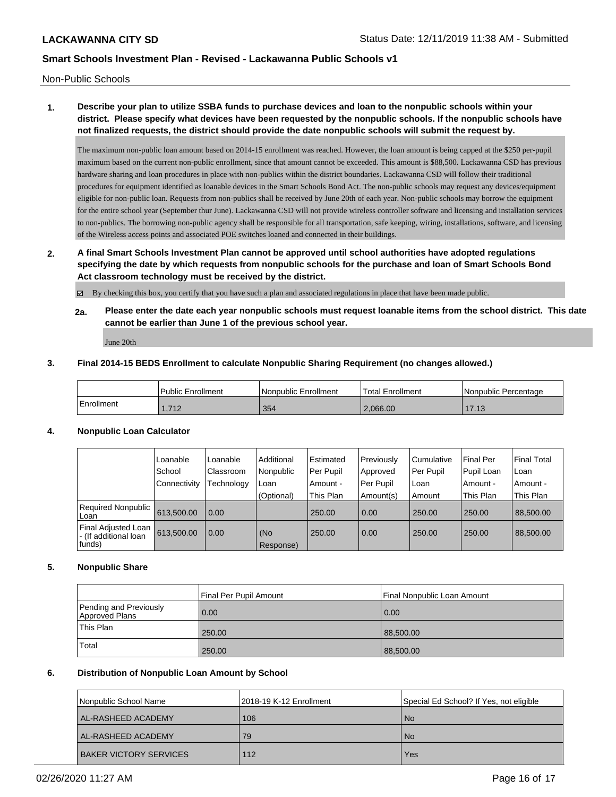Non-Public Schools

# **1. Describe your plan to utilize SSBA funds to purchase devices and loan to the nonpublic schools within your district. Please specify what devices have been requested by the nonpublic schools. If the nonpublic schools have not finalized requests, the district should provide the date nonpublic schools will submit the request by.**

The maximum non-public loan amount based on 2014-15 enrollment was reached. However, the loan amount is being capped at the \$250 per-pupil maximum based on the current non-public enrollment, since that amount cannot be exceeded. This amount is \$88,500. Lackawanna CSD has previous hardware sharing and loan procedures in place with non-publics within the district boundaries. Lackawanna CSD will follow their traditional procedures for equipment identified as loanable devices in the Smart Schools Bond Act. The non-public schools may request any devices/equipment eligible for non-public loan. Requests from non-publics shall be received by June 20th of each year. Non-public schools may borrow the equipment for the entire school year (September thur June). Lackawanna CSD will not provide wireless controller software and licensing and installation services to non-publics. The borrowing non-public agency shall be responsible for all transportation, safe keeping, wiring, installations, software, and licensing of the Wireless access points and associated POE switches loaned and connected in their buildings.

**2. A final Smart Schools Investment Plan cannot be approved until school authorities have adopted regulations specifying the date by which requests from nonpublic schools for the purchase and loan of Smart Schools Bond Act classroom technology must be received by the district.**

By checking this box, you certify that you have such a plan and associated regulations in place that have been made public.

**2a. Please enter the date each year nonpublic schools must request loanable items from the school district. This date cannot be earlier than June 1 of the previous school year.**

June 20th

### **3. Final 2014-15 BEDS Enrollment to calculate Nonpublic Sharing Requirement (no changes allowed.)**

|            | <b>Public Enrollment</b> | Nonpublic Enrollment | <sup>1</sup> Total Enrollment | l Nonpublic Percentage |
|------------|--------------------------|----------------------|-------------------------------|------------------------|
| Enrollment | 712<br>1. I I 4          | 354                  | 2.066.00                      | 17.13                  |

### **4. Nonpublic Loan Calculator**

|                                                        | Loanable     | Loanable   | Additional       | Estimated | Previously | l Cumulative | <b>Final Per</b> | <b>Final Total</b> |
|--------------------------------------------------------|--------------|------------|------------------|-----------|------------|--------------|------------------|--------------------|
|                                                        | School       | Classroom  | Nonpublic        | Per Pupil | Approved   | Per Pupil    | Pupil Loan       | Loan               |
|                                                        | Connectivity | Technology | Loan             | Amount -  | Per Pupil  | ∣Loan        | Amount -         | Amount -           |
|                                                        |              |            | (Optional)       | This Plan | Amount(s)  | Amount       | This Plan        | This Plan          |
| Required Nonpublic<br>Loan                             | 613.500.00   | 0.00       |                  | 250.00    | 0.00       | 250.00       | 250.00           | 88,500.00          |
| Final Adjusted Loan<br>- (If additional loan<br>funds) | 613,500.00   | 0.00       | (No<br>Response) | 250.00    | 0.00       | 250.00       | 250.00           | 88,500,00          |

### **5. Nonpublic Share**

|                                          | Final Per Pupil Amount | l Final Nonpublic Loan Amount |
|------------------------------------------|------------------------|-------------------------------|
| Pending and Previously<br>Approved Plans | 0.00                   | 0.00                          |
| This Plan                                | 250.00                 | 88,500.00                     |
| <b>Total</b>                             | 250.00                 | 88,500.00                     |

### **6. Distribution of Nonpublic Loan Amount by School**

| Nonpublic School Name         | 2018-19 K-12 Enrollment | Special Ed School? If Yes, not eligible |
|-------------------------------|-------------------------|-----------------------------------------|
| <b>AL-RASHEED ACADEMY</b>     | 106                     | l No                                    |
| <b>AL-RASHEED ACADEMY</b>     | 79                      | l No                                    |
| <b>BAKER VICTORY SERVICES</b> | 112                     | Yes                                     |